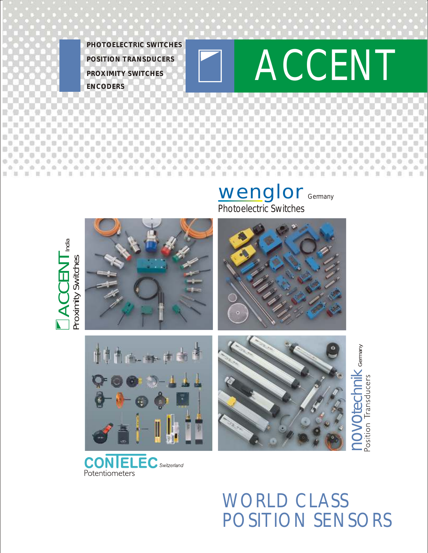**ENCODERS PROXIMITY SWITCHES PHOTOELECTRIC SWITCHES**



# *India*  $\blacktriangleleft$ **C**star<br>Cust E $\overline{\angle}$  $\overline{\phantom{0}}$ Proximity Switches



**CON ELEC** Switzerland Potentiometers

> WORLD CLASS POSITION SENSORS

 $\mathbf{\Omega}$  $\bigcirc$  $\geq$ č  $\overline{\bigcirc}$ 

بي ا

*Germany*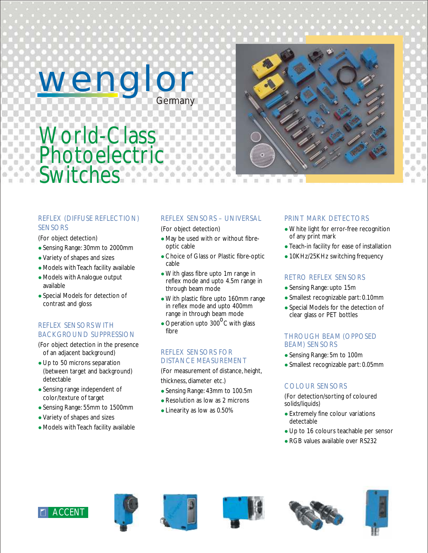wenglor *Germany*



# World-Class **Photoelectric Switches**

### REFLEX (DIFFUSE REFLECTION) **SENSORS**

(For object detection)

- Sensing Range: 30mm to 2000mm l
- Variety of shapes and sizes
- Models with Teach facility available
- Models with Analogue output available
- Special Models for detection of contrast and gloss

# REFLEX SENSORS WITH BACKGROUND SUPPRESSION

- (For object detection in the presence of an adjacent background)
- Up to 50 microns separation (between target and background) detectable
- Sensing range independent of color/texture of target
- Sensing Range: 55mm to 1500mm l
- Variety of shapes and sizes l
- Models with Teach facility available

# REFLEX SENSORS – UNIVERSAL

(For object detection)

- May be used with or without fibreoptic cable
- Choice of Glass or Plastic fibre-optic cable
- With glass fibre upto 1m range in reflex mode and upto 4.5m range in through beam mode
- With plastic fibre upto 160mm range in reflex mode and upto 400mm range in through beam mode
- Operation upto  $300^{\circ}$ C with glass fibre

#### REFLEX SENSORS FOR DISTANCE MEASUREMENT

(For measurement of distance, height, thickness, diameter etc.)

- Sensing Range: 43mm to 100.5m l
- Resolution as low as 2 microns
- Linearity as low as 0.50%

# PRINT MARK DETECTORS

- White light for error-free recognition of any print mark
- Teach-in facility for ease of installation
- 10KHz/25KHz switching frequency

### RETRO REFLEX SENSORS

- Sensing Range: upto 15m
- Smallest recognizable part: 0.10mm
- Special Models for the detection of clear glass or PET bottles

#### THROUGH BEAM (OPPOSED BEAM) SENSORS

- Sensing Range: 5m to 100m
- Smallest recognizable part: 0.05mm

# COLOUR SENSORS

(For detection/sorting of coloured solids/liquids)

- Extremely fine colour variations detectable
- Up to 16 colours teachable per sensor
- RGB values available over RS232











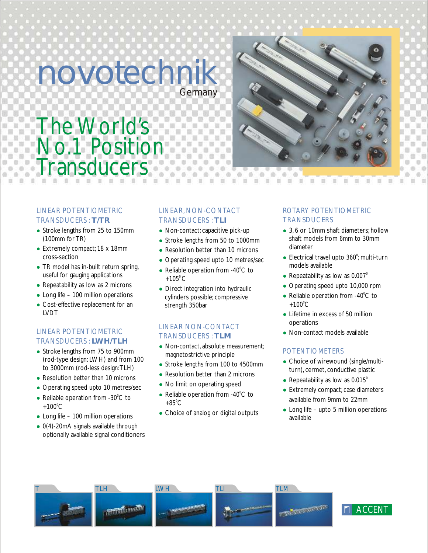# novotechnik *Germany*



# The World's No.1 Position **ransducers**  $\overline{a}$

#### LINEAR POTENTIOMETRIC TRANSDUCERS : **T/TR**

- Stroke lengths from 25 to 150mm (100mm for TR)
- Extremely compact; 18 x 18mm cross-section
- TR model has in-built return spring, useful for gauging applications
- Repeatability as low as 2 microns
- Long life 100 million operations
- Cost-effective replacement for an LVDT

# LINEAR POTENTIOMETRIC TRANSDUCERS : **LWH/TLH**

- Stroke lengths from 75 to 900mm (rod-type design: LWH) and from 100 to 3000mm (rod-less design:TLH)
- Resolution better than 10 microns
- Operating speed upto 10 metres/sec
- Reliable operation from  $-30^{\circ}$ C to  $+100^{\circ}$ C
- Long life 100 million operations
- 0(4)-20mA signals available through optionally available signal conditioners

# LINEAR, NON-CONTACT TRANSDUCERS : **TLI**

- Non-contact; capacitive pick-up
- Stroke lengths from 50 to 1000mm
- Resolution better than 10 microns
- Operating speed upto 10 metres/sec
- Reliable operation from  $-40^{\circ}$ C to +105 $^{\circ}$ C
- Direct integration into hydraulic cylinders possible; compressive strength 350bar

# LINEAR NON-CONTACT TRANSDUCERS : **TLM**

- Non-contact, absolute measurement; magnetostrictive principle
- Stroke lengths from 100 to 4500mm
- Resolution better than 2 microns
- No limit on operating speed
- Reliable operation from  $-40^{\circ}$ C to  $+85^{\circ}$ C
- Choice of analog or digital outputs

# ROTARY POTENTIOMETRIC **TRANSDUCERS**

- 3, 6 or 10mm shaft diameters; hollow shaft models from 6mm to 30mm diameter
- Electrical travel upto  $360^\circ$ ; multi-turn models available
- Repeatability as low as  $0.007^\circ$
- Operating speed upto 10,000 rpm
- Reliable operation from  $-40^{\circ}$ C to  $+100^{\circ}$ C
- Lifetime in excess of 50 million operations
- Non-contact models available

# POTENTIOMETERS

- Choice of wirewound (single/multiturn), cermet, conductive plastic
- Repeatability as low as  $0.015^\circ$
- Extremely compact; case diameters available from 9mm to 22mm
- Long life upto 5 million operations available



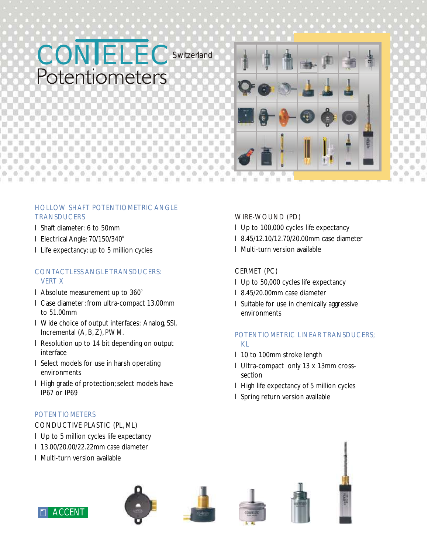



#### HOLLOW SHAFT POTENTIOMETRIC ANGLE **TRANSDUCERS**

- l Shaft diameter: 6 to 50mm
- I Electrical Angle: 70/150/340°
- l Life expectancy: up to 5 million cycles

#### CONTACTLESS ANGLE TRANSDUCERS: VERT X

- I Absolute measurement up to 360°
- l Case diameter: from ultra-compact 13.00mm to 51.00mm
- l Wide choice of output interfaces: Analog, SSI, Incremental (A, B, Z), PWM.
- l Resolution up to 14 bit depending on output interface
- l Select models for use in harsh operating environments
- l High grade of protection; select models have IP67 or IP69

# POTENTIOMETERS

CONDUCTIVE PLASTIC (PL, ML)

- l Up to 5 million cycles life expectancy
- l 13.00/20.00/22.22mm case diameter
- l Multi-turn version available

# WIRE-WOUND (PD)

- l Up to 100,000 cycles life expectancy
- l 8.45/12.10/12.70/20.00mm case diameter
- l Multi-turn version available

# CERMET (PC)

- l Up to 50,000 cycles life expectancy
- l 8.45/20.00mm case diameter
- l Suitable for use in chemically aggressive environments

# POTENTIOMETRIC LINEAR TRANSDUCERS; KL

- l 10 to 100mm stroke length
- l Ultra-compact only 13 x 13mm crosssection
- l High life expectancy of 5 million cycles
- l Spring return version available